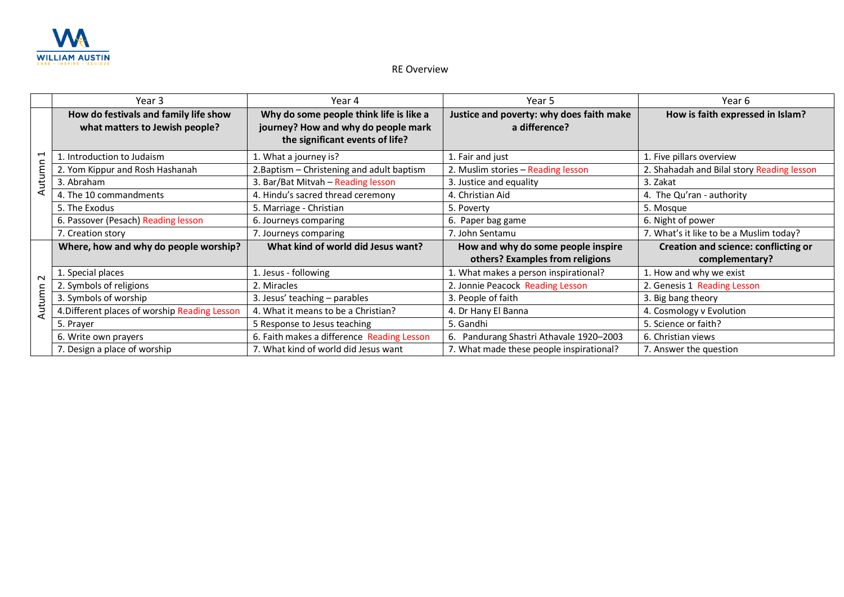

## RE Overview

|                 | Year 3                                        | Year 4                                     | Year 5                                   | Year 6                                      |
|-----------------|-----------------------------------------------|--------------------------------------------|------------------------------------------|---------------------------------------------|
|                 | How do festivals and family life show         | Why do some people think life is like a    | Justice and poverty: why does faith make | How is faith expressed in Islam?            |
|                 | what matters to Jewish people?                | journey? How and why do people mark        | a difference?                            |                                             |
| ↤<br>Autun      |                                               | the significant events of life?            |                                          |                                             |
|                 | 1. Introduction to Judaism                    | 1. What a journey is?                      | 1. Fair and just                         | 1. Five pillars overview                    |
|                 | 2. Yom Kippur and Rosh Hashanah               | 2. Baptism - Christening and adult baptism | 2. Muslim stories - Reading lesson       | 2. Shahadah and Bilal story Reading lesson  |
|                 | 3. Abraham                                    | 3. Bar/Bat Mitvah - Reading lesson         | 3. Justice and equality                  | 3. Zakat                                    |
|                 | 4. The 10 commandments                        | 4. Hindu's sacred thread ceremony          | 4. Christian Aid                         | 4. The Qu'ran - authority                   |
|                 | 5. The Exodus                                 | 5. Marriage - Christian                    | 5. Poverty                               | 5. Mosque                                   |
|                 | 6. Passover (Pesach) Reading lesson           | 6. Journeys comparing                      | 6. Paper bag game                        | 6. Night of power                           |
|                 | 7. Creation story                             | 7. Journeys comparing                      | 7. John Sentamu                          | 7. What's it like to be a Muslim today?     |
|                 | Where, how and why do people worship?         | What kind of world did Jesus want?         | How and why do some people inspire       | <b>Creation and science: conflicting or</b> |
|                 |                                               |                                            | others? Examples from religions          | complementary?                              |
| $\sim$<br>Autum | 1. Special places                             | 1. Jesus - following                       | 1. What makes a person inspirational?    | 1. How and why we exist                     |
|                 | 2. Symbols of religions                       | 2. Miracles                                | 2. Jonnie Peacock Reading Lesson         | 2. Genesis 1 Reading Lesson                 |
|                 | . Symbols of worship                          | 3. Jesus' teaching - parables              | 3. People of faith                       | 3. Big bang theory                          |
|                 | 4. Different places of worship Reading Lesson | 4. What it means to be a Christian?        | 4. Dr Hany El Banna                      | 4. Cosmology v Evolution                    |
|                 | 5. Prayer                                     | 5 Response to Jesus teaching               | 5. Gandhi                                | 5. Science or faith?                        |
|                 | 6. Write own prayers                          | 6. Faith makes a difference Reading Lesson | 6. Pandurang Shastri Athavale 1920-2003  | 6. Christian views                          |
|                 | 7. Design a place of worship                  | 7. What kind of world did Jesus want       | 7. What made these people inspirational? | 7. Answer the question                      |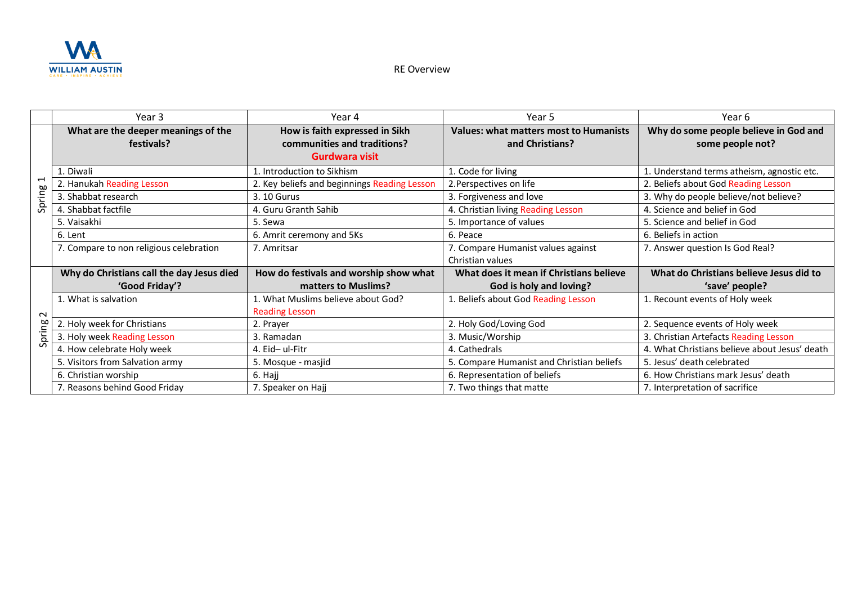

RE Overview

|                                         | Year 3                                            | Year 4                                                        | Year 5                                                           | Year 6                                                    |
|-----------------------------------------|---------------------------------------------------|---------------------------------------------------------------|------------------------------------------------------------------|-----------------------------------------------------------|
|                                         | What are the deeper meanings of the<br>festivals? | How is faith expressed in Sikh<br>communities and traditions? | <b>Values: what matters most to Humanists</b><br>and Christians? | Why do some people believe in God and<br>some people not? |
| $\overline{\phantom{0}}$<br>Ρã<br>Spril |                                                   | Gurdwara visit                                                |                                                                  |                                                           |
|                                         | . Diwali                                          | 1. Introduction to Sikhism                                    | 1. Code for living                                               | 1. Understand terms atheism, agnostic etc.                |
|                                         | 2. Hanukah Reading Lesson                         | 2. Key beliefs and beginnings Reading Lesson                  | 2. Perspectives on life                                          | 2. Beliefs about God Reading Lesson                       |
|                                         | 3. Shabbat research                               | 3. 10 Gurus                                                   | 3. Forgiveness and love                                          | 3. Why do people believe/not believe?                     |
|                                         | 4. Shabbat factfile                               | 4. Guru Granth Sahib                                          | 4. Christian living Reading Lesson                               | 4. Science and belief in God                              |
|                                         | 5. Vaisakhi                                       | 5. Sewa                                                       | 5. Importance of values                                          | 5. Science and belief in God                              |
|                                         | 6. Lent                                           | 6. Amrit ceremony and 5Ks                                     | 6. Peace                                                         | 6. Beliefs in action                                      |
|                                         | 7. Compare to non religious celebration           | 7. Amritsar                                                   | 7. Compare Humanist values against                               | 7. Answer question Is God Real?                           |
|                                         |                                                   |                                                               | Christian values                                                 |                                                           |
|                                         | Why do Christians call the day Jesus died         | How do festivals and worship show what                        | What does it mean if Christians believe                          | What do Christians believe Jesus did to                   |
|                                         | 'Good Friday'?                                    | matters to Muslims?                                           | God is holy and loving?                                          | 'save' people?                                            |
|                                         | 1. What is salvation                              | 1. What Muslims believe about God?                            | 1. Beliefs about God Reading Lesson                              | 1. Recount events of Holy week                            |
| $\sim$<br>ρg<br>Έ                       |                                                   | <b>Reading Lesson</b>                                         |                                                                  |                                                           |
|                                         | 2. Holy week for Christians                       | 2. Prayer                                                     | 2. Holy God/Loving God                                           | 2. Sequence events of Holy week                           |
|                                         | 3. Holy week Reading Lesson                       | 3. Ramadan                                                    | 3. Music/Worship                                                 | 3. Christian Artefacts Reading Lesson                     |
| S                                       | 4. How celebrate Holy week                        | 4. Eid-ul-Fitr                                                | 4. Cathedrals                                                    | 4. What Christians believe about Jesus' death             |
|                                         | 5. Visitors from Salvation army                   | 5. Mosque - masjid                                            | 5. Compare Humanist and Christian beliefs                        | 5. Jesus' death celebrated                                |
|                                         | 6. Christian worship                              | 6. Hajj                                                       | 6. Representation of beliefs                                     | 6. How Christians mark Jesus' death                       |
|                                         | 7. Reasons behind Good Friday                     | 7. Speaker on Hajj                                            | 7. Two things that matte                                         | 7. Interpretation of sacrifice                            |